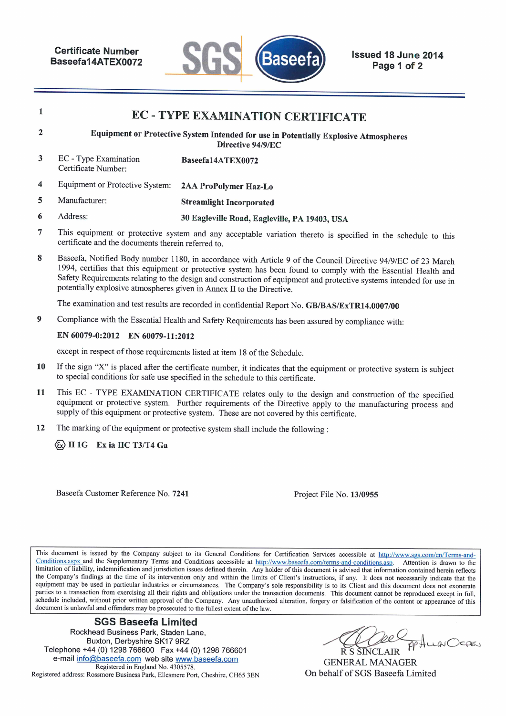

schedule to this

|                | <b>EC - TYPE EXAMINATION CERTIFICATE</b>                                                                                                               |                                               |  |  |  |  |
|----------------|--------------------------------------------------------------------------------------------------------------------------------------------------------|-----------------------------------------------|--|--|--|--|
| $\overline{2}$ | Equipment or Protective System Intended for use in Potentially Explosive Atmospheres<br>Directive 94/9/EC                                              |                                               |  |  |  |  |
| 3              | EC - Type Examination<br>Certificate Number:                                                                                                           | Baseefa14ATEX0072                             |  |  |  |  |
| 4              | Equipment or Protective System:                                                                                                                        | 2AA ProPolymer Haz-Lo                         |  |  |  |  |
| 5              | Manufacturer:                                                                                                                                          | <b>Streamlight Incorporated</b>               |  |  |  |  |
| 6              | Address:                                                                                                                                               | 30 Eagleville Road, Eagleville, PA 19403, USA |  |  |  |  |
| 7              | This equipment or protective system and any acceptable variation thereto is specified in the sch<br>certificate and the documents therein referred to. |                                               |  |  |  |  |

8 Baseefa, Notified Body number 1180, in accordance with Article 9 of the Council Directive 94/9/EC of 23 March 1994, certifies that this equipment or protective system has been found to comply with the Essential Health and Safety Requirements relating to the design and construction of equipment and protective systems intended for use in potentially explosive atmospheres given in Annex II to the Directive.

The examination and test results are recorded in confidential Report No. GB/BAS/ExTR14.0007/00

9 Compliance with the Essential Health and Safety Requirements has been assured by compliance with:

#### EN 60079-0:2012 EN 60079-11:2012

except in respect of those requirements listed at item 18 of the Schedule.

- 10 If the sign "X" is placed after the certificate number, it indicates that the equipment or protective system is subject to special conditions for safe use specified in the schedule to this certificate.
- This EC TYPE EXAMINATION CERTIFICATE relates only to the design and construction of the specified 11 equipment or protective system. Further requirements of the Directive apply to the manufacturing process and supply of this equipment or protective system. These are not covered by this certificate.
- The marking of the equipment or protective system shall include the following : 12

 $\langle 6x \rangle$  II 1G Ex ia IIC T3/T4 Ga

Baseefa Customer Reference No. 7241

Project File No. 13/0955

This document is issued by the Company subject to its General Conditions for Certification Services accessible at http://www.sgs.com/en/Terms-and-Conditions.aspx and the Supplementary Terms and Conditions accessible at http://www.baseefa.com/terms-and-conditions.asp. Attention is drawn to the limitation of liability, indemnification and jurisdiction issues defined therein. Any holder of this document is advised that information contained herein reflects the Company's findings at the time of its intervention only and within the limits of Client's instructions, if any. It does not necessarily indicate that the equipment may be used in particular industries or circumstances. The Company's sole responsibility is to its Client and this document does not exonerate parties to a transaction from exercising all their rights and obligations under the transaction documents. This document cannot be reproduced except in full, schedule included, without prior written approval of the Company. Any unauthorized alteration, forgery or falsification of the content or appearance of this document is unlawful and offenders may be prosecuted to the fullest extent of the law.

#### **SGS Baseefa Limited**

Rockhead Business Park, Staden Lane, Buxton, Derbyshire SK17 9RZ Telephone +44 (0) 1298 766600 Fax +44 (0) 1298 766601 e-mail info@baseefa.com web site www.baseefa.com Registered in England No. 4305578. Registered address: Rossmore Business Park, Ellesmere Port, Cheshire, CH65 3EN

AuguScan

**GENERAL MANAGER** On behalf of SGS Baseefa Limited